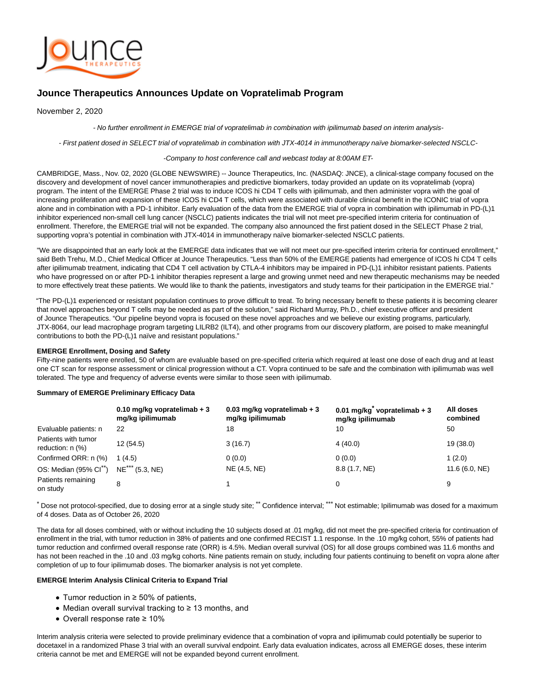

# **Jounce Therapeutics Announces Update on Vopratelimab Program**

November 2, 2020

- No further enrollment in EMERGE trial of vopratelimab in combination with ipilimumab based on interim analysis-

- First patient dosed in SELECT trial of vopratelimab in combination with JTX-4014 in immunotherapy naïve biomarker-selected NSCLC-

#### -Company to host conference call and webcast today at 8:00AM ET-

CAMBRIDGE, Mass., Nov. 02, 2020 (GLOBE NEWSWIRE) -- Jounce Therapeutics, Inc. (NASDAQ: JNCE), a clinical-stage company focused on the discovery and development of novel cancer immunotherapies and predictive biomarkers, today provided an update on its vopratelimab (vopra) program. The intent of the EMERGE Phase 2 trial was to induce ICOS hi CD4 T cells with ipilimumab, and then administer vopra with the goal of increasing proliferation and expansion of these ICOS hi CD4 T cells, which were associated with durable clinical benefit in the ICONIC trial of vopra alone and in combination with a PD-1 inhibitor. Early evaluation of the data from the EMERGE trial of vopra in combination with ipilimumab in PD-(L)1 inhibitor experienced non-small cell lung cancer (NSCLC) patients indicates the trial will not meet pre-specified interim criteria for continuation of enrollment. Therefore, the EMERGE trial will not be expanded. The company also announced the first patient dosed in the SELECT Phase 2 trial, supporting vopra's potential in combination with JTX-4014 in immunotherapy naïve biomarker-selected NSCLC patients.

"We are disappointed that an early look at the EMERGE data indicates that we will not meet our pre-specified interim criteria for continued enrollment," said Beth Trehu, M.D., Chief Medical Officer at Jounce Therapeutics. "Less than 50% of the EMERGE patients had emergence of ICOS hi CD4 T cells after ipilimumab treatment, indicating that CD4 T cell activation by CTLA-4 inhibitors may be impaired in PD-(L)1 inhibitor resistant patients. Patients who have progressed on or after PD-1 inhibitor therapies represent a large and growing unmet need and new therapeutic mechanisms may be needed to more effectively treat these patients. We would like to thank the patients, investigators and study teams for their participation in the EMERGE trial."

"The PD-(L)1 experienced or resistant population continues to prove difficult to treat. To bring necessary benefit to these patients it is becoming clearer that novel approaches beyond T cells may be needed as part of the solution," said Richard Murray, Ph.D., chief executive officer and president of Jounce Therapeutics. "Our pipeline beyond vopra is focused on these novel approaches and we believe our existing programs, particularly, JTX-8064, our lead macrophage program targeting LILRB2 (ILT4), and other programs from our discovery platform, are poised to make meaningful contributions to both the PD-(L)1 naïve and resistant populations."

#### **EMERGE Enrollment, Dosing and Safety**

Fifty-nine patients were enrolled, 50 of whom are evaluable based on pre-specified criteria which required at least one dose of each drug and at least one CT scan for response assessment or clinical progression without a CT. Vopra continued to be safe and the combination with ipilimumab was well tolerated. The type and frequency of adverse events were similar to those seen with ipilimumab.

# **Summary of EMERGE Preliminary Efficacy Data**

|                                              | 0.10 mg/kg vopratelimab $+3$<br>mg/kg ipilimumab | 0.03 mg/kg vopratelimab $+3$<br>mg/kg ipilimumab | 0.01 mg/kg $^*$ vopratelimab + 3<br>mg/kg ipilimumab | All doses<br>combined |
|----------------------------------------------|--------------------------------------------------|--------------------------------------------------|------------------------------------------------------|-----------------------|
| Evaluable patients: n                        | 22                                               | 18                                               | 10                                                   | 50                    |
| Patients with tumor<br>reduction: $n$ $(\%)$ | 12(54.5)                                         | 3(16.7)                                          | 4(40.0)                                              | 19 (38.0)             |
| Confirmed ORR: n (%)                         | 1(4.5)                                           | 0(0.0)                                           | 0(0.0)                                               | 1(2.0)                |
| OS: Median (95% Cl <sup>**</sup> )           | $NE$ <sup>***</sup> (5.3, NE)                    | NE (4.5, NE)                                     | 8.8 (1.7, NE)                                        | 11.6 (6.0, NE)        |
| Patients remaining<br>on study               | 8                                                |                                                  |                                                      | 9                     |

\* Dose not protocol-specified, due to dosing error at a single study site; \*\* Confidence interval; \*\*\* Not estimable; Ipilimumab was dosed for a maximum of 4 doses. Data as of October 26, 2020

The data for all doses combined, with or without including the 10 subjects dosed at .01 mg/kg, did not meet the pre-specified criteria for continuation of enrollment in the trial, with tumor reduction in 38% of patients and one confirmed RECIST 1.1 response. In the .10 mg/kg cohort, 55% of patients had tumor reduction and confirmed overall response rate (ORR) is 4.5%. Median overall survival (OS) for all dose groups combined was 11.6 months and has not been reached in the .10 and .03 mg/kg cohorts. Nine patients remain on study, including four patients continuing to benefit on vopra alone after completion of up to four ipilimumab doses. The biomarker analysis is not yet complete.

# **EMERGE Interim Analysis Clinical Criteria to Expand Trial**

- Tumor reduction in ≥ 50% of patients,
- Median overall survival tracking to ≥ 13 months, and
- Overall response rate ≥ 10%

Interim analysis criteria were selected to provide preliminary evidence that a combination of vopra and ipilimumab could potentially be superior to docetaxel in a randomized Phase 3 trial with an overall survival endpoint. Early data evaluation indicates, across all EMERGE doses, these interim criteria cannot be met and EMERGE will not be expanded beyond current enrollment.